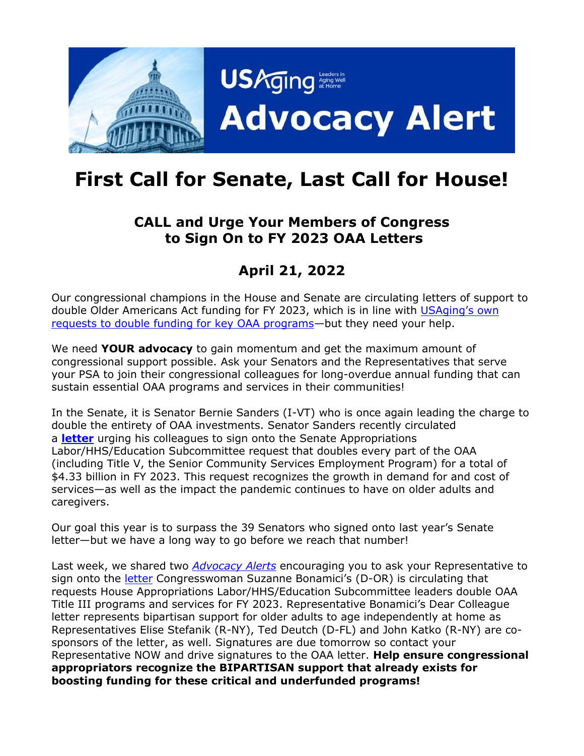

# **First Call for Senate, Last Call for House!**

### **CALL and Urge Your Members of Congress to Sign On to FY 2023 OAA Letters**

## **April 21, 2022**

Our congressional champions in the House and Senate are circulating letters of support to double Older Americans Act funding for FY 2023, which is in line with [USAging's own](https://www.usaging.org/Files/2022%20Policy%20Priorities.pdf#page=6)  [requests to double funding for key OAA programs](https://www.usaging.org/Files/2022%20Policy%20Priorities.pdf#page=6)—but they need your help.

We need **YOUR advocacy** to gain momentum and get the maximum amount of congressional support possible. Ask your Senators and the Representatives that serve your PSA to join their congressional colleagues for long-overdue annual funding that can sustain essential OAA programs and services in their communities!

In the Senate, it is Senator Bernie Sanders (I-VT) who is once again leading the charge to double the entirety of OAA investments. Senator Sanders recently circulated a **[letter](https://www.usaging.org/Files/4.21.22%20OAA_FY23senate.pdf)** urging his colleagues to sign onto the Senate Appropriations Labor/HHS/Education Subcommittee request that doubles every part of the OAA (including Title V, the Senior Community Services Employment Program) for a total of \$4.33 billion in FY 2023. This request recognizes the growth in demand for and cost of services—as well as the impact the pandemic continues to have on older adults and caregivers.

Our goal this year is to surpass the 39 Senators who signed onto last year's Senate letter—but we have a long way to go before we reach that number!

Last week, we shared two *[Advocacy Alerts](https://www.usaging.org/advocacyalerts)* encouraging you to ask your Representative to sign onto the [letter](file:///C:/Users/mbillger/AppData/Local/Microsoft/Windows/INetCache/Content.Outlook/LLZJDH14/letter) Congresswoman Suzanne Bonamici's (D-OR) is circulating that requests House Appropriations Labor/HHS/Education Subcommittee leaders double OAA Title III programs and services for FY 2023. Representative Bonamici's Dear Colleague letter represents bipartisan support for older adults to age independently at home as Representatives Elise Stefanik (R-NY), Ted Deutch (D-FL) and John Katko (R-NY) are cosponsors of the letter, as well. Signatures are due tomorrow so contact your Representative NOW and drive signatures to the OAA letter. **Help ensure congressional appropriators recognize the BIPARTISAN support that already exists for boosting funding for these critical and underfunded programs!**